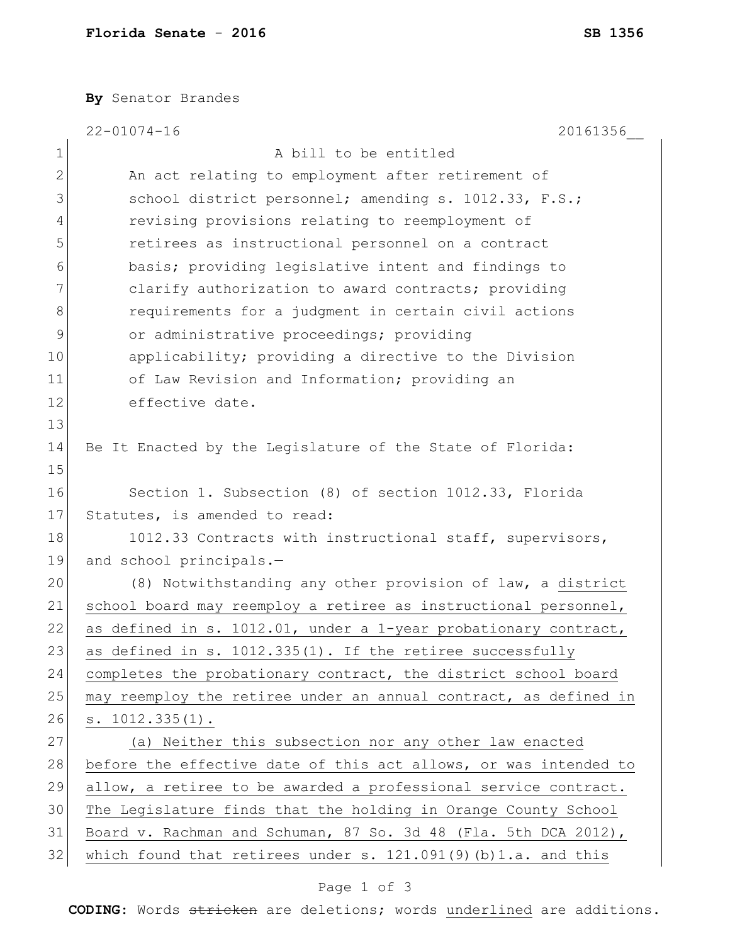**By** Senator Brandes

|               | $22 - 01074 - 16$<br>20161356                                     |  |  |  |  |  |
|---------------|-------------------------------------------------------------------|--|--|--|--|--|
| 1             | A bill to be entitled                                             |  |  |  |  |  |
| $\mathbf{2}$  | An act relating to employment after retirement of                 |  |  |  |  |  |
| 3             | school district personnel; amending s. 1012.33, F.S.;             |  |  |  |  |  |
| 4             | revising provisions relating to reemployment of                   |  |  |  |  |  |
| 5             | retirees as instructional personnel on a contract                 |  |  |  |  |  |
| 6             | basis; providing legislative intent and findings to               |  |  |  |  |  |
| 7             | clarify authorization to award contracts; providing               |  |  |  |  |  |
| 8             | requirements for a judgment in certain civil actions              |  |  |  |  |  |
| $\mathcal{G}$ | or administrative proceedings; providing                          |  |  |  |  |  |
| 10            | applicability; providing a directive to the Division              |  |  |  |  |  |
| 11            | of Law Revision and Information; providing an                     |  |  |  |  |  |
| 12            | effective date.                                                   |  |  |  |  |  |
| 13            |                                                                   |  |  |  |  |  |
| 14            | Be It Enacted by the Legislature of the State of Florida:         |  |  |  |  |  |
| 15            |                                                                   |  |  |  |  |  |
| 16            | Section 1. Subsection (8) of section 1012.33, Florida             |  |  |  |  |  |
| 17            | Statutes, is amended to read:                                     |  |  |  |  |  |
| 18            | 1012.33 Contracts with instructional staff, supervisors,          |  |  |  |  |  |
| 19            | and school principals.-                                           |  |  |  |  |  |
| 20            | (8) Notwithstanding any other provision of law, a district        |  |  |  |  |  |
| 21            | school board may reemploy a retiree as instructional personnel,   |  |  |  |  |  |
| 22            | as defined in s. 1012.01, under a 1-year probationary contract,   |  |  |  |  |  |
| 23            | as defined in s. 1012.335(1). If the retiree successfully         |  |  |  |  |  |
| 24            | completes the probationary contract, the district school board    |  |  |  |  |  |
| 25            | may reemploy the retiree under an annual contract, as defined in  |  |  |  |  |  |
| 26            | s. 1012.335(1).                                                   |  |  |  |  |  |
| 27            | (a) Neither this subsection nor any other law enacted             |  |  |  |  |  |
| 28            | before the effective date of this act allows, or was intended to  |  |  |  |  |  |
| 29            | allow, a retiree to be awarded a professional service contract.   |  |  |  |  |  |
| 30            | The Legislature finds that the holding in Orange County School    |  |  |  |  |  |
| 31            | Board v. Rachman and Schuman, 87 So. 3d 48 (Fla. 5th DCA 2012),   |  |  |  |  |  |
| 32            | which found that retirees under s. $121.091(9)$ (b) 1.a. and this |  |  |  |  |  |

## Page 1 of 3

**CODING**: Words stricken are deletions; words underlined are additions.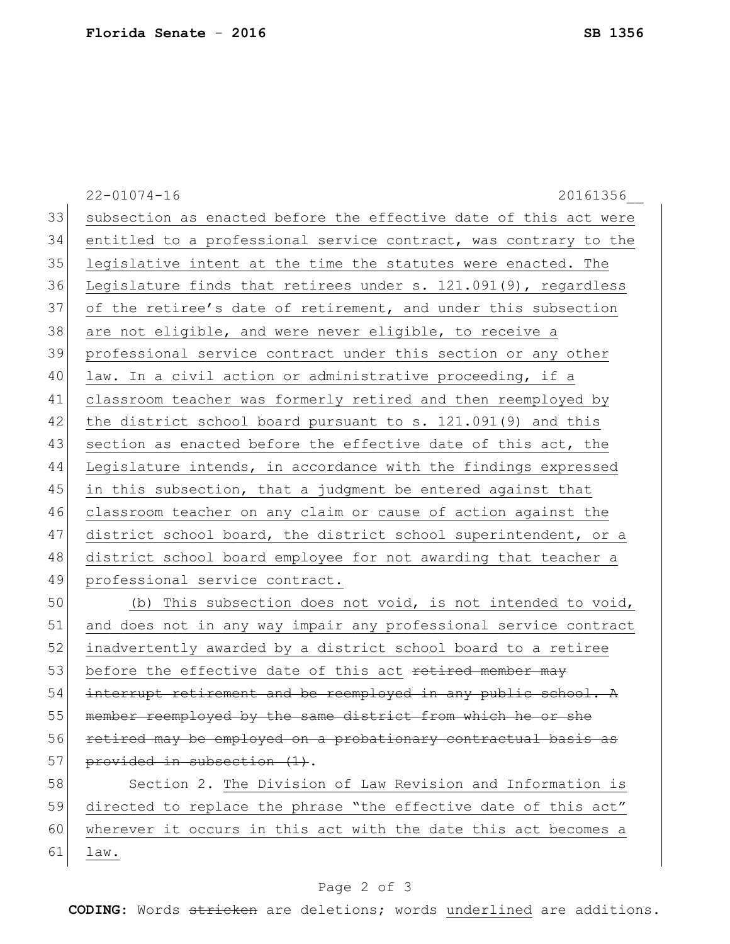22-01074-16 20161356\_\_ 33 subsection as enacted before the effective date of this act were 34 entitled to a professional service contract, was contrary to the 35 legislative intent at the time the statutes were enacted. The 36 Legislature finds that retirees under s. 121.091(9), regardless 37 of the retiree's date of retirement, and under this subsection 38 are not eligible, and were never eligible, to receive a 39 professional service contract under this section or any other 40 law. In a civil action or administrative proceeding, if a 41 classroom teacher was formerly retired and then reemployed by 42 the district school board pursuant to s. 121.091(9) and this 43 section as enacted before the effective date of this act, the 44 Legislature intends, in accordance with the findings expressed 45 in this subsection, that a judgment be entered against that 46 classroom teacher on any claim or cause of action against the 47 district school board, the district school superintendent, or a 48 district school board employee for not awarding that teacher a 49 professional service contract. 50 (b) This subsection does not void, is not intended to void, 51 and does not in any way impair any professional service contract 52 inadvertently awarded by a district school board to a retiree 53 before the effective date of this act retired member may 54 interrupt retirement and be reemployed in any public school. A 55 member reemployed by the same district from which he or she 56 retired may be employed on a probationary contractual basis as 57 provided in subsection  $(1)$ . 58 Section 2. The Division of Law Revision and Information is 59 directed to replace the phrase "the effective date of this act" 60 wherever it occurs in this act with the date this act becomes a 61 law.

## Page 2 of 3

**CODING**: Words stricken are deletions; words underlined are additions.